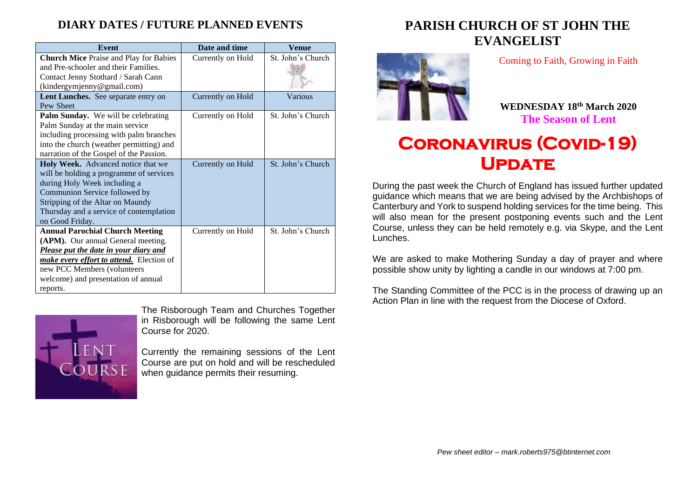### **DIARY DATES / FUTURE PLANNED EVENTS**

| <b>Event</b>                                    | Date and time     | Venue             |
|-------------------------------------------------|-------------------|-------------------|
| <b>Church Mice</b> Praise and Play for Babies   | Currently on Hold | St. John's Church |
| and Pre-schooler and their Families.            |                   |                   |
| Contact Jenny Stothard / Sarah Cann             |                   |                   |
| (kindergymjenny@gmail.com)                      |                   |                   |
| Lent Lunches. See separate entry on             | Currently on Hold | Various           |
| Pew Sheet                                       |                   |                   |
| Palm Sunday. We will be celebrating             | Currently on Hold | St. John's Church |
| Palm Sunday at the main service                 |                   |                   |
| including processing with palm branches         |                   |                   |
| into the church (weather permitting) and        |                   |                   |
| narration of the Gospel of the Passion.         |                   |                   |
| Holy Week. Advanced notice that we              | Currently on Hold | St. John's Church |
| will be holding a programme of services         |                   |                   |
| during Holy Week including a                    |                   |                   |
| Communion Service followed by                   |                   |                   |
| Stripping of the Altar on Maundy                |                   |                   |
| Thursday and a service of contemplation         |                   |                   |
| on Good Friday.                                 |                   |                   |
| <b>Annual Parochial Church Meeting</b>          | Currently on Hold | St. John's Church |
| (APM). Our annual General meeting.              |                   |                   |
| Please put the date in your diary and           |                   |                   |
| <i>make every effort to attend.</i> Election of |                   |                   |
| new PCC Members (volunteers                     |                   |                   |
| welcome) and presentation of annual             |                   |                   |
| reports.                                        |                   |                   |



The Risborough Team and Churches Together in Risborough will be following the same Lent Course for 2020.

Currently the remaining sessions of the Lent Course are put on hold and will be rescheduled when guidance permits their resuming.

## **PARISH CHURCH OF ST JOHN THE EVANGELIST**



Coming to Faith, Growing in Faith

**WEDNESDAY 18th March 2020 The Season of Lent**

# **Coronavirus (Covid-19) UPDATE**

During the past week the Church of England has issued further updated guidance which means that we are being advised by the Archbishops of Canterbury and York to suspend holding services for the time being. This will also mean for the present postponing events such and the Lent Course, unless they can be held remotely e.g. via Skype, and the Lent Lunches.

We are asked to make Mothering Sunday a day of prayer and where possible show unity by lighting a candle in our windows at 7:00 pm.

The Standing Committee of the PCC is in the process of drawing up an Action Plan in line with the request from the Diocese of Oxford.